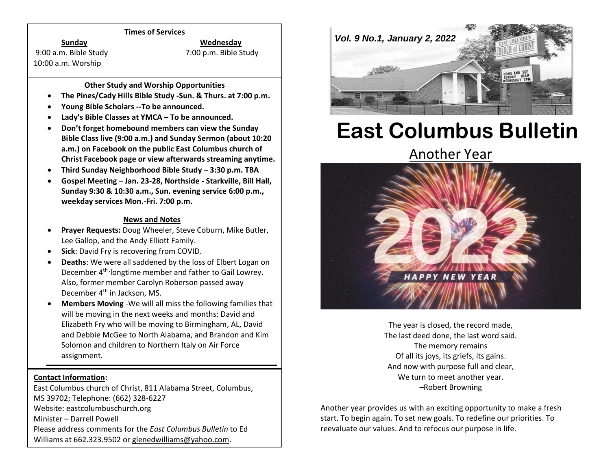#### **Times of Services**

9:00 a.m. Bible Study 7:00 p.m. Bible Study 10:00 a.m. Worship

**Sunday Wednesday**

## **Other Study and Worship Opportunities**

- **The Pines/Cady Hills Bible Study -Sun. & Thurs. at 7:00 p.m.**
- **Young Bible Scholars --To be announced.**
- **Lady's Bible Classes at YMCA – To be announced.**
- **Don't forget homebound members can view the Sunday Bible Class live (9:00 a.m.) and Sunday Sermon (about 10:20 a.m.) on Facebook on the public East Columbus church of Christ Facebook page or view afterwards streaming anytime.**
- **Third Sunday Neighborhood Bible Study – 3:30 p.m. TBA**
- **Gospel Meeting – Jan. 23-28, Northside - Starkville, Bill Hall, Sunday 9:30 & 10:30 a.m., Sun. evening service 6:00 p.m., weekday services Mon.-Fri. 7:00 p.m.**

### **News and Notes**

- **Prayer Requests:** Doug Wheeler, Steve Coburn, Mike Butler, Lee Gallop, and the Andy Elliott Family.
- **Sick**: David Fry is recovering from COVID.
- **Deaths**: We were all saddened by the loss of Elbert Logan on December 4<sup>th,</sup> longtime member and father to Gail Lowrey. Also, former member Carolyn Roberson passed away December 4<sup>th</sup> in Jackson, MS.
- **Members Moving** -We will all miss the following families that will be moving in the next weeks and months: David and Elizabeth Fry who will be moving to Birmingham, AL, David and Debbie McGee to North Alabama, and Brandon and Kim Solomon and children to Northern Italy on Air Force assignment.

#### **Contact Information:**

East Columbus church of Christ, 811 Alabama Street, Columbus, MS 39702; Telephone: (662) 328-6227 Website: eastcolumbuschurch.org Minister – Darrell Powell Please address comments for the *East Columbus Bulletin* to Ed Williams at 662.323.9502 o[r glenedwilliams@yahoo.com.](mailto:glenedwilliams@yahoo.com)



# **East Columbus Bulletin**

# [Another Year](https://thepreachersword.com/2022/01/01/another-year/)



The year is closed, the record made, The last deed done, the last word said. The memory remains Of all its joys, its griefs, its gains. And now with purpose full and clear, We turn to meet another year. –Robert Browning

Another year provides us with an exciting opportunity to make a fresh start. To begin again. To set new goals. To redefine our priorities. To reevaluate our values. And to refocus our purpose in life.